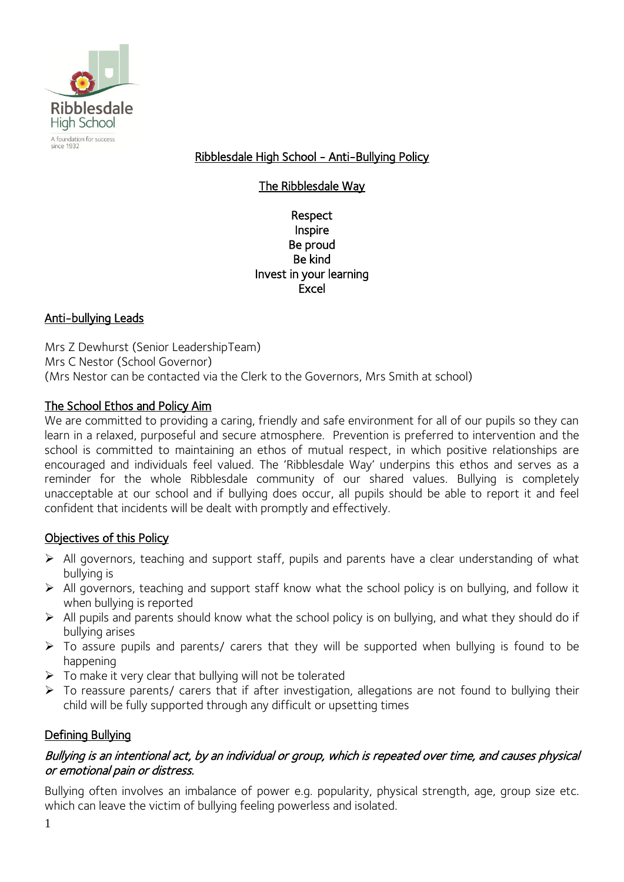

Ribblesdale High School - Anti-Bullying Policy

The Ribblesdale Way

#### Respect Inspire Be proud Be kind Invest in your learning Excel

# Anti-bullying Leads

Mrs Z Dewhurst (Senior LeadershipTeam) Mrs C Nestor (School Governor) (Mrs Nestor can be contacted via the Clerk to the Governors, Mrs Smith at school)

### The School Ethos and Policy Aim

We are committed to providing a caring, friendly and safe environment for all of our pupils so they can learn in a relaxed, purposeful and secure atmosphere. Prevention is preferred to intervention and the school is committed to maintaining an ethos of mutual respect, in which positive relationships are encouraged and individuals feel valued. The 'Ribblesdale Way' underpins this ethos and serves as a reminder for the whole Ribblesdale community of our shared values. Bullying is completely unacceptable at our school and if bullying does occur, all pupils should be able to report it and feel confident that incidents will be dealt with promptly and effectively.

### Objectives of this Policy

- ➢ All governors, teaching and support staff, pupils and parents have a clear understanding of what bullying is
- ➢ All governors, teaching and support staff know what the school policy is on bullying, and follow it when bullying is reported
- ➢ All pupils and parents should know what the school policy is on bullying, and what they should do if bullying arises
- ➢ To assure pupils and parents/ carers that they will be supported when bullying is found to be happening
- ➢ To make it very clear that bullying will not be tolerated
- ➢ To reassure parents/ carers that if after investigation, allegations are not found to bullying their child will be fully supported through any difficult or upsetting times

### Defining Bullying

### Bullying is an intentional act, by an individual or group, which is repeated over time, and causes physical or emotional pain or distress.

Bullying often involves an imbalance of power e.g. popularity, physical strength, age, group size etc. which can leave the victim of bullying feeling powerless and isolated.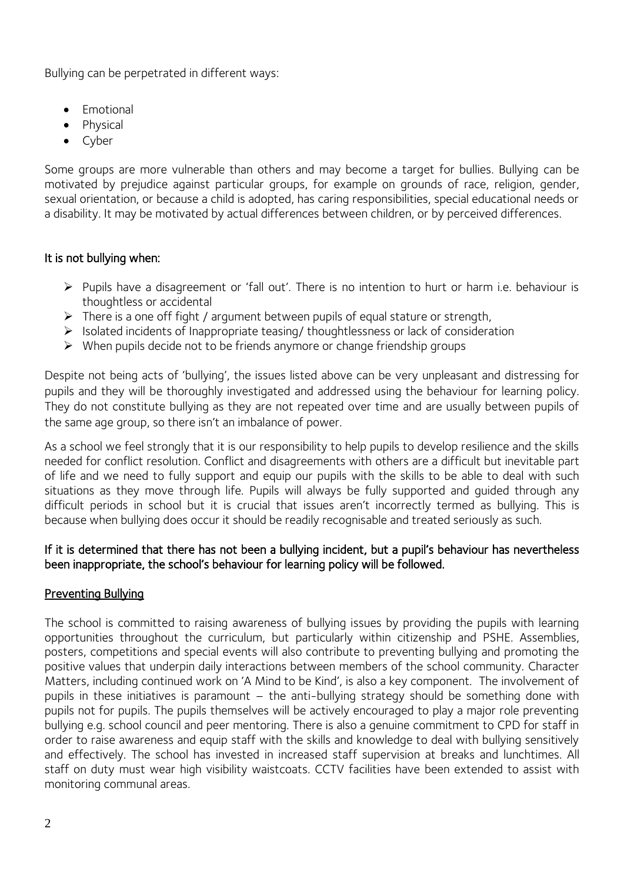Bullying can be perpetrated in different ways:

- Emotional
- Physical
- Cyber

Some groups are more vulnerable than others and may become a target for bullies. Bullying can be motivated by prejudice against particular groups, for example on grounds of race, religion, gender, sexual orientation, or because a child is adopted, has caring responsibilities, special educational needs or a disability. It may be motivated by actual differences between children, or by perceived differences.

# It is not bullying when:

- ➢ Pupils have a disagreement or 'fall out'. There is no intention to hurt or harm i.e. behaviour is thoughtless or accidental
- $\triangleright$  There is a one off fight / argument between pupils of equal stature or strength,
- ➢ Isolated incidents of Inappropriate teasing/ thoughtlessness or lack of consideration
- ➢ When pupils decide not to be friends anymore or change friendship groups

Despite not being acts of 'bullying', the issues listed above can be very unpleasant and distressing for pupils and they will be thoroughly investigated and addressed using the behaviour for learning policy. They do not constitute bullying as they are not repeated over time and are usually between pupils of the same age group, so there isn't an imbalance of power.

As a school we feel strongly that it is our responsibility to help pupils to develop resilience and the skills needed for conflict resolution. Conflict and disagreements with others are a difficult but inevitable part of life and we need to fully support and equip our pupils with the skills to be able to deal with such situations as they move through life. Pupils will always be fully supported and quided through any difficult periods in school but it is crucial that issues aren't incorrectly termed as bullying. This is because when bullying does occur it should be readily recognisable and treated seriously as such.

### If it is determined that there has not been a bullying incident, but a pupil's behaviour has nevertheless been inappropriate, the school's behaviour for learning policy will be followed.

### Preventing Bullying

The school is committed to raising awareness of bullying issues by providing the pupils with learning opportunities throughout the curriculum, but particularly within citizenship and PSHE. Assemblies, posters, competitions and special events will also contribute to preventing bullying and promoting the positive values that underpin daily interactions between members of the school community. Character Matters, including continued work on 'A Mind to be Kind', is also a key component. The involvement of pupils in these initiatives is paramount – the anti-bullying strategy should be something done with pupils not for pupils. The pupils themselves will be actively encouraged to play a major role preventing bullying e.g. school council and peer mentoring. There is also a genuine commitment to CPD for staff in order to raise awareness and equip staff with the skills and knowledge to deal with bullying sensitively and effectively. The school has invested in increased staff supervision at breaks and lunchtimes. All staff on duty must wear high visibility waistcoats. CCTV facilities have been extended to assist with monitoring communal areas.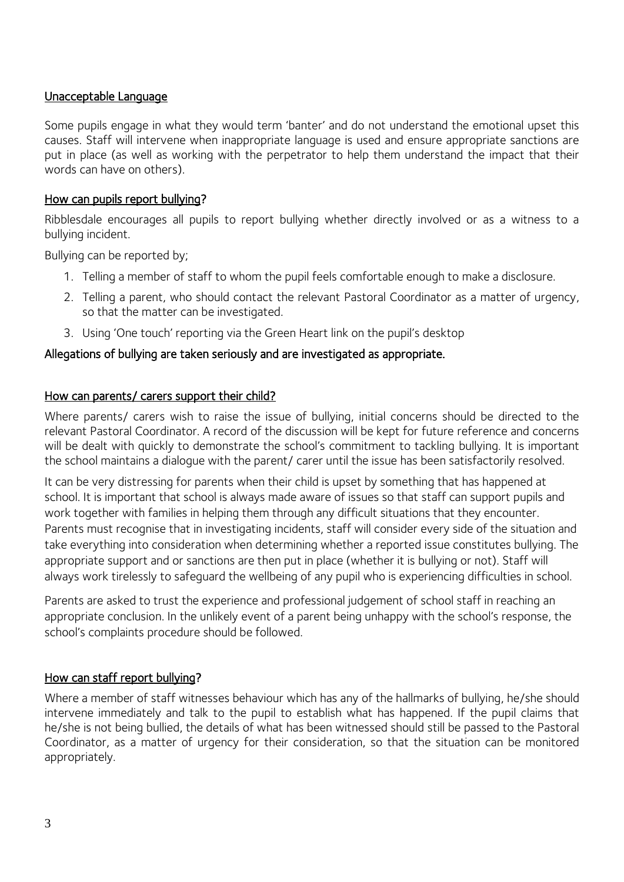### Unacceptable Language

Some pupils engage in what they would term 'banter' and do not understand the emotional upset this causes. Staff will intervene when inappropriate language is used and ensure appropriate sanctions are put in place (as well as working with the perpetrator to help them understand the impact that their words can have on others).

### How can pupils report bullying?

Ribblesdale encourages all pupils to report bullying whether directly involved or as a witness to a bullying incident.

Bullying can be reported by;

- 1. Telling a member of staff to whom the pupil feels comfortable enough to make a disclosure.
- 2. Telling a parent, who should contact the relevant Pastoral Coordinator as a matter of urgency, so that the matter can be investigated.
- 3. Using 'One touch' reporting via the Green Heart link on the pupil's desktop

### Allegations of bullying are taken seriously and are investigated as appropriate.

#### How can parents/ carers support their child?

Where parents/ carers wish to raise the issue of bullying, initial concerns should be directed to the relevant Pastoral Coordinator. A record of the discussion will be kept for future reference and concerns will be dealt with quickly to demonstrate the school's commitment to tackling bullying. It is important the school maintains a dialogue with the parent/ carer until the issue has been satisfactorily resolved.

It can be very distressing for parents when their child is upset by something that has happened at school. It is important that school is always made aware of issues so that staff can support pupils and work together with families in helping them through any difficult situations that they encounter. Parents must recognise that in investigating incidents, staff will consider every side of the situation and take everything into consideration when determining whether a reported issue constitutes bullying. The appropriate support and or sanctions are then put in place (whether it is bullying or not). Staff will always work tirelessly to safeguard the wellbeing of any pupil who is experiencing difficulties in school.

Parents are asked to trust the experience and professional judgement of school staff in reaching an appropriate conclusion. In the unlikely event of a parent being unhappy with the school's response, the school's complaints procedure should be followed.

### How can staff report bullying?

Where a member of staff witnesses behaviour which has any of the hallmarks of bullying, he/she should intervene immediately and talk to the pupil to establish what has happened. If the pupil claims that he/she is not being bullied, the details of what has been witnessed should still be passed to the Pastoral Coordinator, as a matter of urgency for their consideration, so that the situation can be monitored appropriately.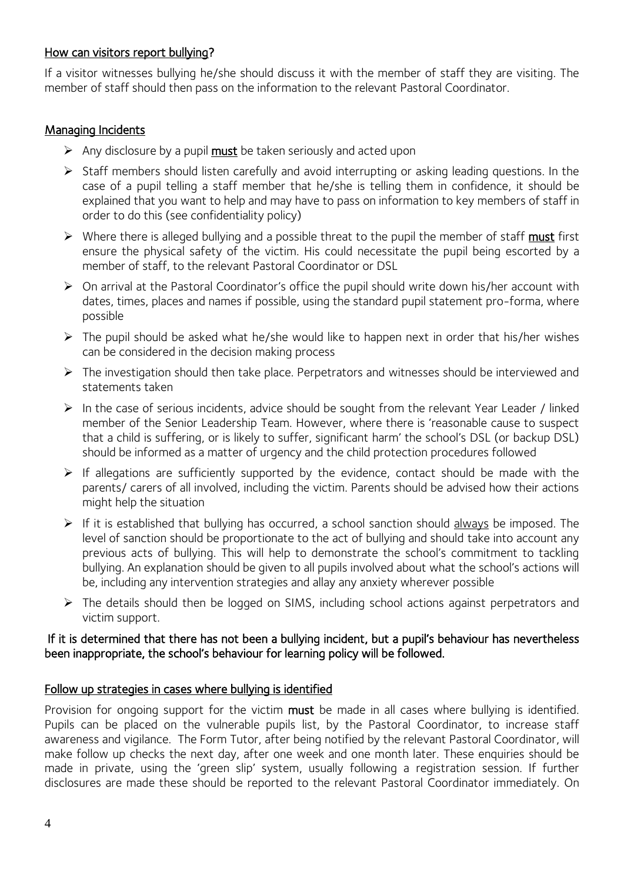# How can visitors report bullying?

If a visitor witnesses bullying he/she should discuss it with the member of staff they are visiting. The member of staff should then pass on the information to the relevant Pastoral Coordinator.

# **Managing Incidents**

- $\triangleright$  Any disclosure by a pupil must be taken seriously and acted upon
- ➢ Staff members should listen carefully and avoid interrupting or asking leading questions. In the case of a pupil telling a staff member that he/she is telling them in confidence, it should be explained that you want to help and may have to pass on information to key members of staff in order to do this (see confidentiality policy)
- ➢ Where there is alleged bullying and a possible threat to the pupil the member of staff must first ensure the physical safety of the victim. His could necessitate the pupil being escorted by a member of staff, to the relevant Pastoral Coordinator or DSL
- ➢ On arrival at the Pastoral Coordinator's office the pupil should write down his/her account with dates, times, places and names if possible, using the standard pupil statement pro-forma, where possible
- $\triangleright$  The pupil should be asked what he/she would like to happen next in order that his/her wishes can be considered in the decision making process
- ➢ The investigation should then take place. Perpetrators and witnesses should be interviewed and statements taken
- ➢ In the case of serious incidents, advice should be sought from the relevant Year Leader / linked member of the Senior Leadership Team. However, where there is 'reasonable cause to suspect that a child is suffering, or is likely to suffer, significant harm' the school's DSL (or backup DSL) should be informed as a matter of urgency and the child protection procedures followed
- ➢ If allegations are sufficiently supported by the evidence, contact should be made with the parents/ carers of all involved, including the victim. Parents should be advised how their actions might help the situation
- ➢ If it is established that bullying has occurred, a school sanction should always be imposed. The level of sanction should be proportionate to the act of bullying and should take into account any previous acts of bullying. This will help to demonstrate the school's commitment to tackling bullying. An explanation should be given to all pupils involved about what the school's actions will be, including any intervention strategies and allay any anxiety wherever possible
- ➢ The details should then be logged on SIMS, including school actions against perpetrators and victim support.

#### If it is determined that there has not been a bullying incident, but a pupil's behaviour has nevertheless been inappropriate, the school's behaviour for learning policy will be followed.

#### Follow up strategies in cases where bullying is identified

Provision for ongoing support for the victim must be made in all cases where bullying is identified. Pupils can be placed on the vulnerable pupils list, by the Pastoral Coordinator, to increase staff awareness and vigilance. The Form Tutor, after being notified by the relevant Pastoral Coordinator, will make follow up checks the next day, after one week and one month later. These enquiries should be made in private, using the 'green slip' system, usually following a registration session. If further disclosures are made these should be reported to the relevant Pastoral Coordinator immediately. On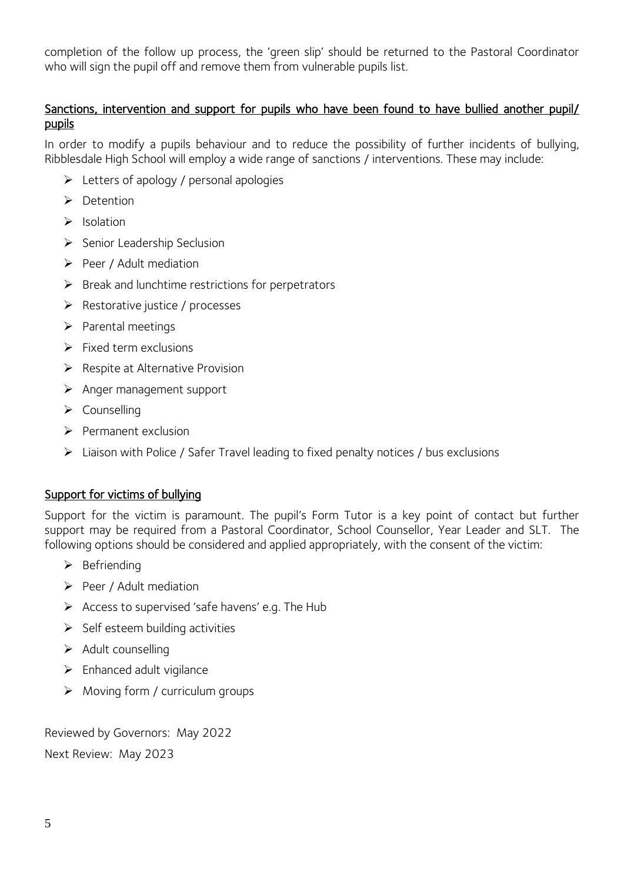completion of the follow up process, the 'green slip' should be returned to the Pastoral Coordinator who will sign the pupil off and remove them from vulnerable pupils list.

# Sanctions, intervention and support for pupils who have been found to have bullied another pupil/ pupils

In order to modify a pupils behaviour and to reduce the possibility of further incidents of bullying, Ribblesdale High School will employ a wide range of sanctions / interventions. These may include:

- ➢ Letters of apology / personal apologies
- ➢ Detention
- ➢ Isolation
- ➢ Senior Leadership Seclusion
- ➢ Peer / Adult mediation
- $\triangleright$  Break and lunchtime restrictions for perpetrators
- ➢ Restorative justice / processes
- ➢ Parental meetings
- $\triangleright$  Fixed term exclusions
- ➢ Respite at Alternative Provision
- ➢ Anger management support
- ➢ Counselling
- ➢ Permanent exclusion
- ➢ Liaison with Police / Safer Travel leading to fixed penalty notices / bus exclusions

### Support for victims of bullying

Support for the victim is paramount. The pupil's Form Tutor is a key point of contact but further support may be required from a Pastoral Coordinator, School Counsellor, Year Leader and SLT. The following options should be considered and applied appropriately, with the consent of the victim:

- ➢ Befriending
- ➢ Peer / Adult mediation
- ➢ Access to supervised 'safe havens' e.g. The Hub
- $\triangleright$  Self esteem building activities
- ➢ Adult counselling
- ➢ Enhanced adult vigilance
- $\triangleright$  Moving form / curriculum groups

Reviewed by Governors: May 2022 Next Review: May 2023